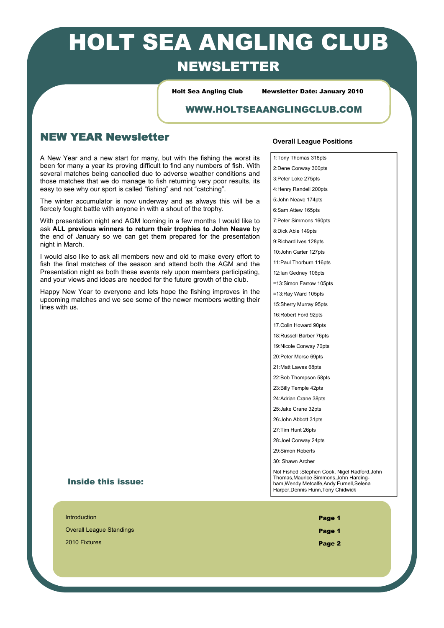# HOLT SEA ANGLING CLUB NEWSLETTER

Holt Sea Angling Club Newsletter Date: January 2010

### WWW.HOLTSEAANGLINGCLUB.COM

## NEW YEAR Newsletter

A New Year and a new start for many, but with the fishing the worst its been for many a year its proving difficult to find any numbers of fish. With several matches being cancelled due to adverse weather conditions and those matches that we do manage to fish returning very poor results, its easy to see why our sport is called "fishing" and not "catching".

The winter accumulator is now underway and as always this will be a fiercely fought battle with anyone in with a shout of the trophy.

With presentation night and AGM looming in a few months I would like to ask **ALL previous winners to return their trophies to John Neave** by the end of January so we can get them prepared for the presentation night in March.

I would also like to ask all members new and old to make every effort to fish the final matches of the season and attend both the AGM and the Presentation night as both these events rely upon members participating, and your views and ideas are needed for the future growth of the club.

Happy New Year to everyone and lets hope the fishing improves in the upcoming matches and we see some of the newer members wetting their lines with us.

#### **Overall League Positions**

1:Tony Thomas 318pts 2:Dene Conway 300pts 3:Peter Loke 275pts 4:Henry Randell 200pts 5:John Neave 174pts 6:Sam Attew 165pts 7:Peter Simmons 160pts 8:Dick Able 149pts 9:Richard Ives 128pts 10:John Carter 127pts 11:Paul Thorburn 116pts 12:Ian Gedney 106pts =13:Simon Farrow 105pts =13:Ray Ward 105pts 15:Sherry Murray 95pts 16:Robert Ford 92pts 17 Colin Howard 90pts 18:Russell Barber 76pts 19:Nicole Conway 70pts 20:Peter Morse 69pts 21:Matt Lawes 68pts 22:Bob Thompson 58pts 23:Billy Temple 42pts 24:Adrian Crane 38pts 25:Jake Crane 32pts 26:John Abbott 31pts 27:Tim Hunt 26pts 28: Joel Conway 24pts 29:Simon Roberts 30: Shawn Archer

#### Inside this issue:

Introduction  $\blacksquare$ Overall League Standings Page 1

2010 Fixtures **Page 2** Page 2010 Fixtures Page 2010 Fixtures Page 2010 Fixtures Page 2010 Fixtures Page 2011 Fixtures

Not Fished :Stephen Cook, Nigel Radford,John Thomas,Maurice Simmons,John Hardingham,Wendy Metcalfe,Andy Furnell,Selena Harper,Dennis Hunn,Tony Chidwick

- 
-